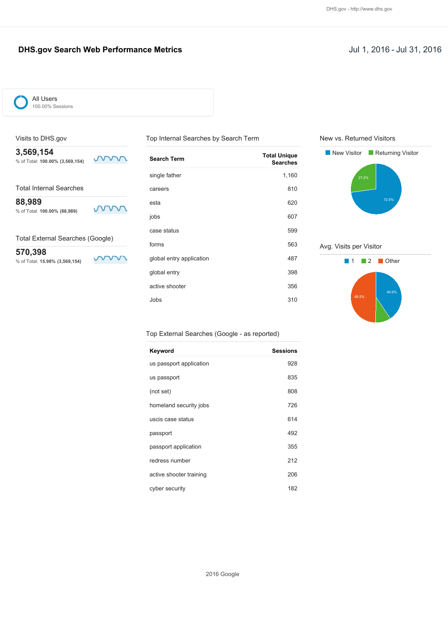### **DHS.gov Search Web Performance Metrics Jul 1, 2016 - Jul 31, 2016**

mm

mm

mm



All Users 100.00% Sessions

#### Visits to DHS.gov

**3,569,154** % of Total: **100.00% (3,569,154)**

Total Internal Searches

**88,989**

% of Total: **100.00% (88,989)**

Total External Searches (Google)

**570,398** % of Total: **15.98% (3,569,154)**

| <b>Search Term</b>       | <b>Total Unique</b><br><b>Searches</b> |
|--------------------------|----------------------------------------|
| single father            | 1,160                                  |
| careers                  | 810                                    |
| esta                     | 620                                    |
| jobs                     | 607                                    |
| case status              | 599                                    |
| forms                    | 563                                    |
| global entry application | 487                                    |
| global entry             | 398                                    |
| active shooter           | 356                                    |
| Jobs                     | 310                                    |

Top Internal Searches by Search Term

New vs. Returned Visitors



Avg. Visits per Visitor



#### Top External Searches (Google - as reported)

| Keyword                 | <b>Sessions</b> |
|-------------------------|-----------------|
| us passport application | 928             |
| us passport             | 835             |
| (not set)               | 808             |
| homeland security jobs  | 726             |
| uscis case status       | 614             |
| passport                | 492             |
| passport application    | 355             |
| redress number          | 212             |
| active shooter training | 206             |
| cyber security          | 182             |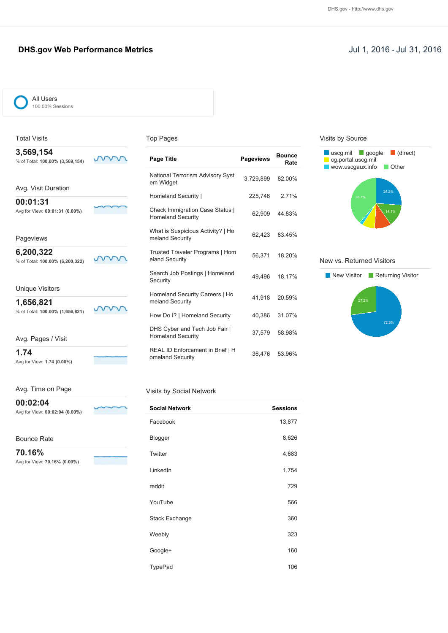### **DHS.gov Web Performance Metrics Jul 1, 2016 - Jul 31, 2016**

| ∼                        | All Users        |
|--------------------------|------------------|
| $\overline{\phantom{0}}$ | 100.00% Sessions |
|                          |                  |

#### Top Pages

| Page Title                                                         | <b>Pageviews</b> | <b>Bounce</b><br>Rate |
|--------------------------------------------------------------------|------------------|-----------------------|
| <b>National Terrorism Advisory Syst</b><br>em Widget               | 3,729,899        | 82.00%                |
| Homeland Security                                                  | 225,746          | 2.71%                 |
| <b>Check Immigration Case Status  </b><br><b>Homeland Security</b> | 62,909           | 44.83%                |
| What is Suspicious Activity?   Ho<br>meland Security               | 62.423           | 83.45%                |
| Trusted Traveler Programs   Hom<br>eland Security                  | 56,371           | 18.20%                |
| Search Job Postings   Homeland<br>Security                         | 49,496           | 18.17%                |
| Homeland Security Careers   Ho<br>meland Security                  | 41,918           | 20.59%                |
| How Do I?   Homeland Security                                      | 40,386           | 31.07%                |
| DHS Cyber and Tech Job Fair  <br><b>Homeland Security</b>          | 37,579           | 58.98%                |
| REAL ID Enforcement in Brief   H<br>omeland Security               | 36.476           | 53.96%                |

## Visits by Source



#### New vs. Returned Visitors



#### Avg. Time on Page

Avg for View: **1.74 (0.00%)**

Avg. Pages / Visit

**1.74**

Total Visits **3,569,154**

**00:01:31**

Pageviews **6,200,322**

Unique Visitors **1,656,821**

% of Total: **100.00% (3,569,154)**

Avg. Visit Duration

Avg for View: **00:01:31 (0.00%)**

% of Total: **100.00% (6,200,322)**

% of Total: **100.00% (1,656,821)**

**00:02:04**

Avg for View: **00:02:04 (0.00%)**

Bounce Rate

**70.16%** Avg for View: **70.16% (0.00%)**

#### Visits by Social Network

| <b>Social Network</b> | <b>Sessions</b> |
|-----------------------|-----------------|
| Facebook              | 13,877          |
| Blogger               | 8,626           |
| Twitter               | 4,683           |
| LinkedIn              | 1,754           |
| reddit                | 729             |
| YouTube               | 566             |
| <b>Stack Exchange</b> | 360             |
| Weebly                | 323             |
| Google+               | 160             |
| TypePad               | 106             |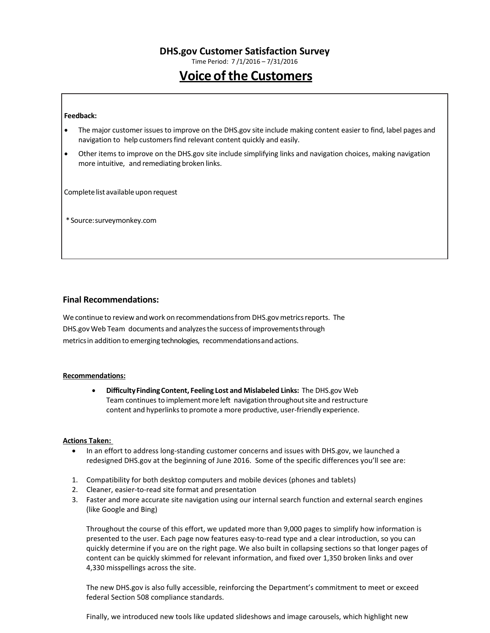Time Period: 7 /1/2016 – 7/31/2016

# **Voice of the Customers**

#### **Feedback:**

- The major customer issuesto improve on the DHS.gov site include making content easier to find, label pages and navigation to help customers find relevant content quickly and easily.
- Other items to improve on the DHS.gov site include simplifying links and navigation choices, making navigation more intuitive, and remediating broken links.

Complete list available upon request

\*Source:surveymonkey.com

#### **Final Recommendations:**

We continue to review and work on recommendations from DHS.gov metrics reports. The DHS.gov Web Team documents and analyzesthe success of improvementsthrough metricsin addition to emerging technologies, recommendationsandactions.

#### **Recommendations:**

• **DifficultyFindingContent, Feeling Lost and Mislabeled Links:** The DHS.gov Web Team continues to implement more left navigation throughout site and restructure content and hyperlinks to promote a more productive, user-friendly experience.

#### **Actions Taken:**

- In an effort to address long-standing customer concerns and issues with DHS.gov, we launched a redesigned DHS.gov at the beginning of June 2016. Some of the specific differences you'll see are:
- 1. Compatibility for both desktop computers and mobile devices (phones and tablets)
- 2. Cleaner, easier-to-read site format and presentation
- 3. Faster and more accurate site navigation using our internal search function and external search engines (like Google and Bing)

Throughout the course of this effort, we updated more than 9,000 pages to simplify how information is presented to the user. Each page now features easy-to-read type and a clear introduction, so you can quickly determine if you are on the right page. We also built in collapsing sections so that longer pages of content can be quickly skimmed for relevant information, and fixed over 1,350 broken links and over 4,330 misspellings across the site.

The new DHS.gov is also fully accessible, reinforcing the Department's commitment to meet or exceed federal Section 508 compliance standards.

Finally, we introduced new tools like updated slideshows and image carousels, which highlight new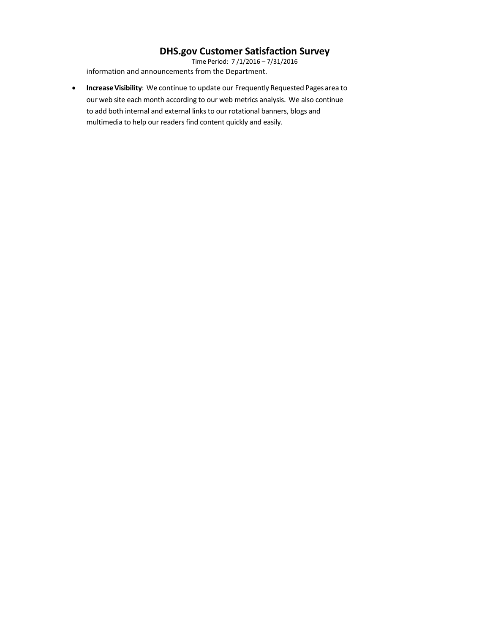Time Period: 7 /1/2016 – 7/31/2016 information and announcements from the Department.

• **IncreaseVisibility**: We continue to update our Frequently Requested Pagesarea to our web site each month according to our web metrics analysis. We also continue to add both internal and external links to our rotational banners, blogs and multimedia to help our readers find content quickly and easily.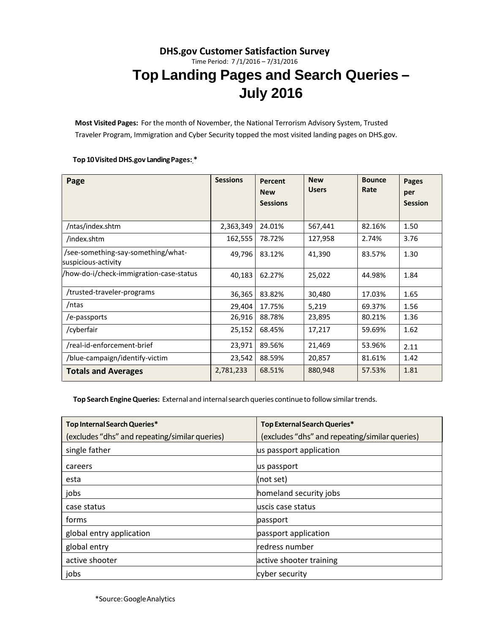# **DHS.gov Customer Satisfaction Survey** Time Period: 7 /1/2016 – 7/31/2016 **Top Landing Pages and Search Queries – July 2016**

**Most Visited Pages:** For the month of November, the National Terrorism Advisory System, Trusted Traveler Program, Immigration and Cyber Security topped the most visited landing pages on DHS.gov.

### **Top 10Visited DHS.gov LandingPages: \***

| Page                                                      | <b>Sessions</b> | Percent<br><b>New</b> | <b>New</b><br><b>Users</b> | <b>Bounce</b><br>Rate | Pages<br>per   |
|-----------------------------------------------------------|-----------------|-----------------------|----------------------------|-----------------------|----------------|
|                                                           |                 | <b>Sessions</b>       |                            |                       | <b>Session</b> |
| /ntas/index.shtm                                          | 2,363,349       | 24.01%                | 567,441                    | 82.16%                | 1.50           |
| /index.shtm                                               | 162,555         | 78.72%                | 127,958                    | 2.74%                 | 3.76           |
| /see-something-say-something/what-<br>suspicious-activity | 49,796          | 83.12%                | 41,390                     | 83.57%                | 1.30           |
| /how-do-i/check-immigration-case-status                   | 40,183          | 62.27%                | 25,022                     | 44.98%                | 1.84           |
| /trusted-traveler-programs                                | 36,365          | 83.82%                | 30,480                     | 17.03%                | 1.65           |
| /ntas                                                     | 29,404          | 17.75%                | 5,219                      | 69.37%                | 1.56           |
| /e-passports                                              | 26,916          | 88.78%                | 23,895                     | 80.21%                | 1.36           |
| /cyberfair                                                | 25,152          | 68.45%                | 17,217                     | 59.69%                | 1.62           |
| /real-id-enforcement-brief                                | 23,971          | 89.56%                | 21,469                     | 53.96%                | 2.11           |
| /blue-campaign/identify-victim                            | 23,542          | 88.59%                | 20,857                     | 81.61%                | 1.42           |
| <b>Totals and Averages</b>                                | 2,781,233       | 68.51%                | 880,948                    | 57.53%                | 1.81           |

**Top Search EngineQueries:** External and internalsearch queries continueto followsimilartrends.

| Top Internal Search Queries*                   | Top External Search Queries*                   |
|------------------------------------------------|------------------------------------------------|
| (excludes "dhs" and repeating/similar queries) | (excludes "dhs" and repeating/similar queries) |
| single father                                  | us passport application                        |
| careers                                        | us passport                                    |
| esta                                           | (not set)                                      |
| jobs                                           | homeland security jobs                         |
| case status                                    | uscis case status                              |
| forms                                          | passport                                       |
| global entry application                       | passport application                           |
| global entry                                   | redress number                                 |
| active shooter                                 | active shooter training                        |
| jobs                                           | cyber security                                 |

\*Source:GoogleAnalytics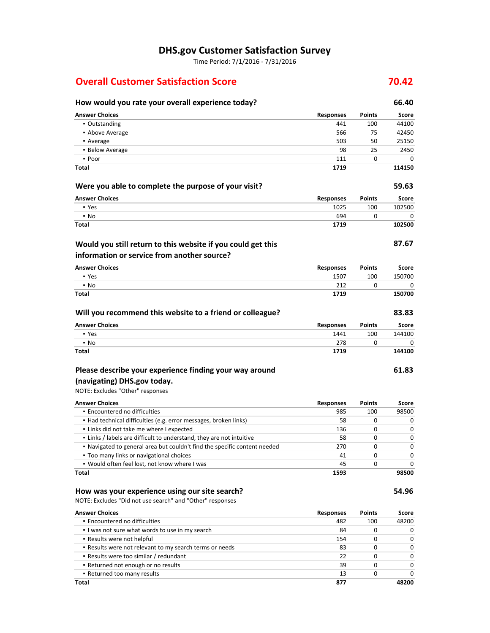Time Period: 7/1/2016 - 7/31/2016

# **Overall Customer Satisfaction Score 1988 1988 70.42**

| How would you rate your overall experience today?                         |                  |               | 66.40        |
|---------------------------------------------------------------------------|------------------|---------------|--------------|
| <b>Answer Choices</b>                                                     | Responses        | <b>Points</b> | Score        |
| • Outstanding                                                             | 441              | 100           | 44100        |
| • Above Average                                                           | 566              | 75            | 42450        |
| • Average                                                                 | 503              | 50            | 25150        |
| • Below Average                                                           | 98               | 25            | 2450         |
| • Poor                                                                    | 111              | 0             | 0            |
| Total                                                                     | 1719             |               | 114150       |
| Were you able to complete the purpose of your visit?                      |                  |               | 59.63        |
| <b>Answer Choices</b>                                                     | <b>Responses</b> | <b>Points</b> | <b>Score</b> |
| • Yes                                                                     | 1025             | 100           | 102500       |
| • No                                                                      | 694              | 0             | 0            |
| Total                                                                     | 1719             |               | 102500       |
| Would you still return to this website if you could get this              |                  |               | 87.67        |
| information or service from another source?                               |                  |               |              |
| <b>Answer Choices</b>                                                     | Responses        | Points        | Score        |
| • Yes                                                                     | 1507             | 100           | 150700       |
| $\cdot$ No                                                                | 212              | 0             | 0            |
| Total                                                                     | 1719             |               | 150700       |
| Will you recommend this website to a friend or colleague?                 |                  |               | 83.83        |
| <b>Answer Choices</b>                                                     | <b>Responses</b> | Points        | Score        |
| • Yes                                                                     | 1441             | 100           | 144100       |
| $\blacksquare$ No                                                         | 278              | 0             | 0            |
| Total                                                                     | 1719             |               | 144100       |
| Please describe your experience finding your way around                   |                  |               | 61.83        |
| (navigating) DHS.gov today.                                               |                  |               |              |
| NOTE: Excludes "Other" responses                                          |                  |               |              |
| <b>Answer Choices</b>                                                     | <b>Responses</b> | <b>Points</b> | Score        |
| • Encountered no difficulties                                             | 985              | 100           | 98500        |
| • Had technical difficulties (e.g. error messages, broken links)          | 58               | 0             | 0            |
| . Links did not take me where I expected                                  | 136              | 0             | 0            |
| . Links / labels are difficult to understand, they are not intuitive      | 58               | 0             | 0            |
| • Navigated to general area but couldn't find the specific content needed | 270              | 0             | 0            |
| . Too many links or navigational choices                                  | 41               | U             | 0            |
| . Would often feel lost, not know where I was                             | 45               | 0             | 0            |
| Total                                                                     | 1593             |               | 98500        |
| How was your experience using our site search?                            |                  |               | 54.96        |
| NOTE: Excludes "Did not use search" and "Other" responses                 |                  |               |              |
| <b>Answer Choices</b>                                                     | <b>Responses</b> | <b>Points</b> | Score        |
| · Encountered no difficulties                                             | 482              | 100           | 48200        |
| . I was not sure what words to use in my search                           | 84               | 0             | 0            |
| . Results were not helpful                                                | 154              | 0             | 0            |
| . Results were not relevant to my search terms or needs                   | 83               | 0             | 0            |
| • Results were too similar / redundant                                    | 22               | 0             | 0            |
| . Returned not enough or no results                                       | 39               | 0             | 0            |
| - Returned too many results                                               | 13               | 0             | 0            |

**Total 877 48200**